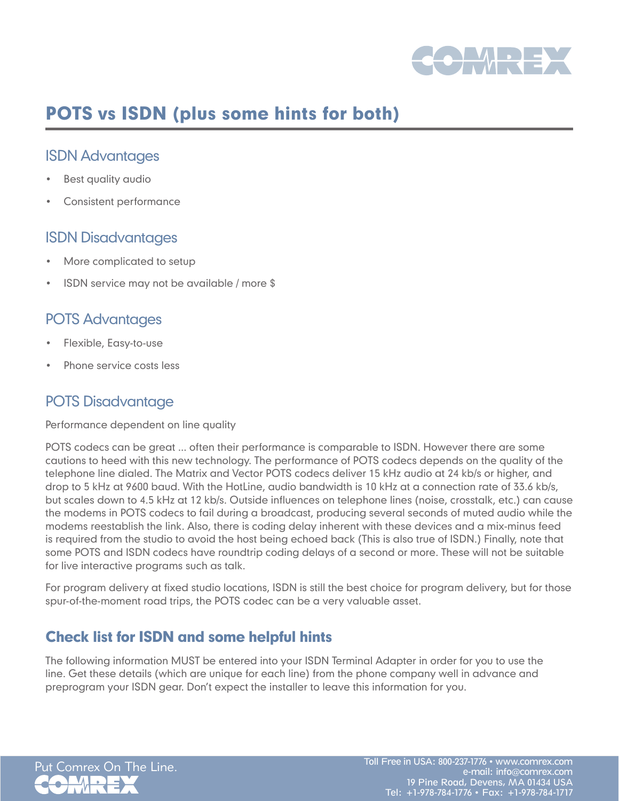

# POTS vs ISDN (plus some hints for both)

### ISDN Advantages

- Best quality audio
- Consistent performance

#### ISDN Disadvantages

- More complicated to setup
- ISDN service may not be available / more  $$$

#### POTS Advantages

- Flexible, Easy-to-use
- Phone service costs less

## POTS Disadvantage

Performance dependent on line quality

POTS codecs can be great ... often their performance is comparable to ISDN. However there are some cautions to heed with this new technology. The performance of POTS codecs depends on the quality of the telephone line dialed. The Matrix and Vector POTS codecs deliver 15 kHz audio at 24 kb/s or higher, and drop to 5 kHz at 9600 baud. With the HotLine, audio bandwidth is 10 kHz at a connection rate of 33.6 kb/s, but scales down to 4.5 kHz at 12 kb/s. Outside influences on telephone lines (noise, crosstalk, etc.) can cause the modems in POTS codecs to fail during a broadcast, producing several seconds of muted audio while the modems reestablish the link. Also, there is coding delay inherent with these devices and a mix-minus feed is required from the studio to avoid the host being echoed back (This is also true of ISDN.) Finally, note that some POTS and ISDN codecs have roundtrip coding delays of a second or more. These will not be suitable for live interactive programs such as talk.

For program delivery at fixed studio locations, ISDN is still the best choice for program delivery, but for those spur-of-the-moment road trips, the POTS codec can be a very valuable asset.

## Check list for ISDN and some helpful hints

The following information MUST be entered into your ISDN Terminal Adapter in order for you to use the line. Get these details (which are unique for each line) from the phone company well in advance and preprogram your ISDN gear. Don't expect the installer to leave this information for you.

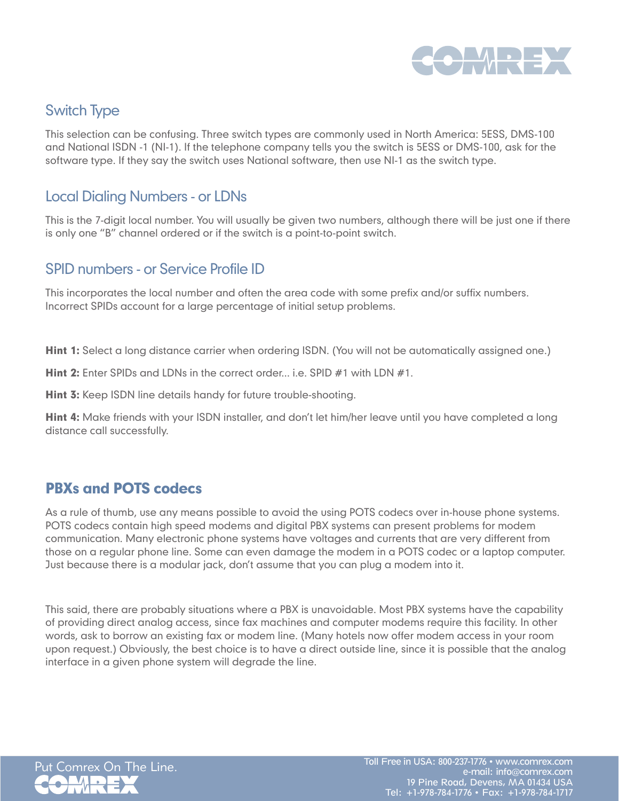

## Switch Type

This selection can be confusing. Three switch types are commonly used in North America: 5ESS, DMS-100 and National ISDN -1 (NI-1). If the telephone company tells you the switch is 5ESS or DMS-100, ask for the software type. If they say the switch uses National software, then use NI-1 as the switch type.

### Local Dialing Numbers - or LDNs

This is the 7-digit local number. You will usually be given two numbers, although there will be just one if there is only one "B" channel ordered or if the switch is a point-to-point switch.

#### SPID numbers - or Service Profile ID

This incorporates the local number and often the area code with some prefix and/or suffix numbers. Incorrect SPIDs account for a large percentage of initial setup problems.

Hint 1: Select a long distance carrier when ordering ISDN. (You will not be automatically assigned one.)

Hint 2: Enter SPIDs and LDNs in the correct order... i.e. SPID #1 with LDN #1.

**Hint 3:** Keep ISDN line details handy for future trouble-shooting.

Hint 4: Make friends with your ISDN installer, and don't let him/her leave until you have completed a long distance call successfully.

## PBXs and POTS codecs

As a rule of thumb, use any means possible to avoid the using POTS codecs over in-house phone systems. POTS codecs contain high speed modems and digital PBX systems can present problems for modem communication. Many electronic phone systems have voltages and currents that are very different from those on a regular phone line. Some can even damage the modem in a POTS codec or a laptop computer. Just because there is a modular jack, don't assume that you can plug a modem into it.

This said, there are probably situations where a PBX is unavoidable. Most PBX systems have the capability of providing direct analog access, since fax machines and computer modems require this facility. In other words, ask to borrow an existing fax or modem line. (Many hotels now offer modem access in your room upon request.) Obviously, the best choice is to have a direct outside line, since it is possible that the analog interface in a given phone system will degrade the line.



Put Comrex On The Line. Toll Free in USA: 800-237-1776 • www.comrex.com e-mail: info@comrex.com 19 Pine Road, Devens, MA 01434 USA Tel: +1-978-784-1776 • Fax: +1-978-784-1717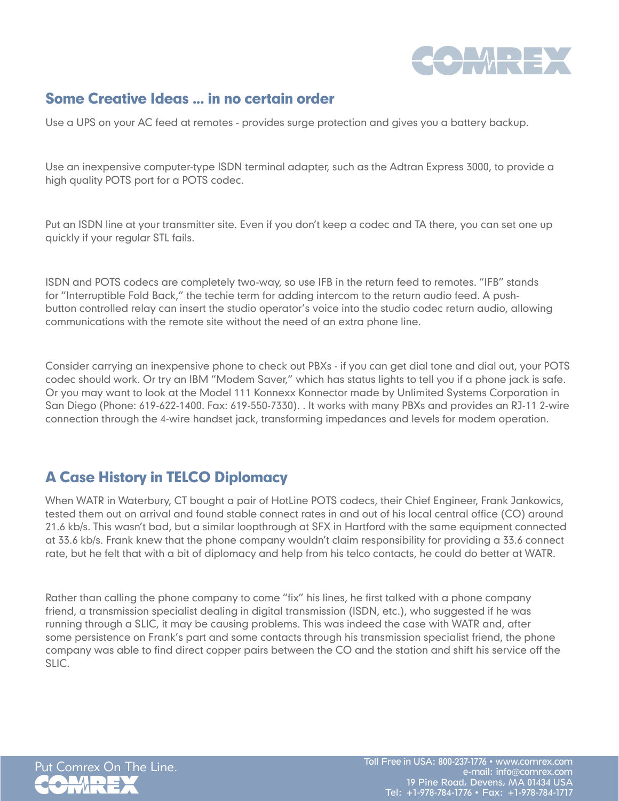

## Some Creative Ideas ... in no certain order

Use a UPS on your AC feed at remotes - provides surge protection and gives you a battery backup.

Use an inexpensive computer-type ISDN terminal adapter, such as the Adtran Express 3000, to provide a high quality POTS port for a POTS codec.

Put an ISDN line at your transmitter site. Even if you don't keep a codec and TA there, you can set one up quickly if your regular STL fails.

ISDN and POTS codecs are completely two-way, so use IFB in the return feed to remotes. "IFB" stands for "Interruptible Fold Back," the techie term for adding intercom to the return audio feed. A pushbutton controlled relay can insert the studio operator's voice into the studio codec return audio, allowing communications with the remote site without the need of an extra phone line.

Consider carrying an inexpensive phone to check out PBXs - if you can get dial tone and dial out, your POTS codec should work. Or try an IBM "Modem Saver," which has status lights to tell you if a phone jack is safe. Or you may want to look at the Model 111 Konnexx Konnector made by Unlimited Systems Corporation in San Diego (Phone: 619-622-1400. Fax: 619-550-7330). . It works with many PBXs and provides an RJ-11 2-wire connection through the 4-wire handset jack, transforming impedances and levels for modem operation.

## A Case History in TELCO Diplomacy

When WATR in Waterbury, CT bought a pair of HotLine POTS codecs, their Chief Engineer, Frank Jankowics, tested them out on arrival and found stable connect rates in and out of his local central office (CO) around 21.6 kb/s. This wasn't bad, but a similar loopthrough at SFX in Hartford with the same equipment connected at 33.6 kb/s. Frank knew that the phone company wouldn't claim responsibility for providing a 33.6 connect rate, but he felt that with a bit of diplomacy and help from his telco contacts, he could do better at WATR.

Rather than calling the phone company to come "fix" his lines, he first talked with a phone company friend, a transmission specialist dealing in digital transmission (ISDN, etc.), who suggested if he was running through a SLIC, it may be causing problems. This was indeed the case with WATR and, after some persistence on Frank's part and some contacts through his transmission specialist friend, the phone company was able to find direct copper pairs between the CO and the station and shift his service off the SLIC.